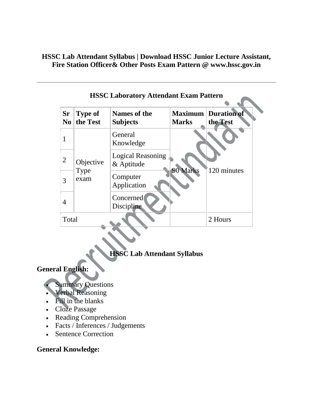**HSSC Lab Attendant Syllabus | Download HSSC Junior Lecture Assistant, Fire Station Officer& Other Posts Exam Pattern @ www.hssc.gov.in**

| <b>FINNUM</b> Exam Patternal Latin Pattern<br><b>Sr</b><br><b>Maximum Duration of</b><br><b>Type of</b><br><b>Names of the</b> |                           |                                        |              |             |
|--------------------------------------------------------------------------------------------------------------------------------|---------------------------|----------------------------------------|--------------|-------------|
| N <sub>0</sub>                                                                                                                 | the Test                  | <b>Subjects</b>                        | <b>Marks</b> | the Test    |
| 1                                                                                                                              | Objective<br>Type<br>exam | General<br>Knowledge                   | 90 Marks     | 120 minutes |
| 2                                                                                                                              |                           | <b>Logical Reasoning</b><br>& Aptitude |              |             |
| 3                                                                                                                              |                           | Computer<br>Application                |              |             |
| 4                                                                                                                              |                           | Concerned<br><b>Discipline</b>         |              |             |
| Total                                                                                                                          |                           |                                        |              | 2 Hours     |

# **HSSC Laboratory Attendant Exam Pattern**

# **HSSC Lab Attendant Syllabus**

### **General English:**

- **Summary Questions**
- Verbal Reasoning
- Fill in the blanks
- Cloze Passage
- Reading Comprehension
- Facts / Inferences / Judgements
- Sentence Correction

#### **General Knowledge:**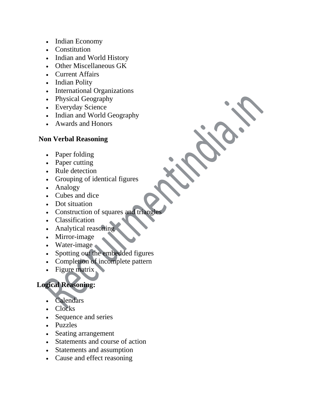- Indian Economy
- Constitution
- Indian and World History
- Other Miscellaneous GK
- Current Affairs
- Indian Polity
- International Organizations
- Physical Geography
- Everyday Science
- Indian and World Geography
- Awards and Honors

### **Non Verbal Reasoning**

- Paper folding
- Paper cutting
- Rule detection
- Grouping of identical figures
- Analogy
- Cubes and dice
- Dot situation
- Construction of squares and triangl
- Classification
- Analytical reasoning
- Mirror-image
- Water-image
- Spotting out the embedded figures
- Completion of incomplete pattern
- Figure matrix

## **Logical Reasoning:**

- Calendars
- Clocks
- Sequence and series
- Puzzles
- Seating arrangement
- Statements and course of action
- Statements and assumption
- Cause and effect reasoning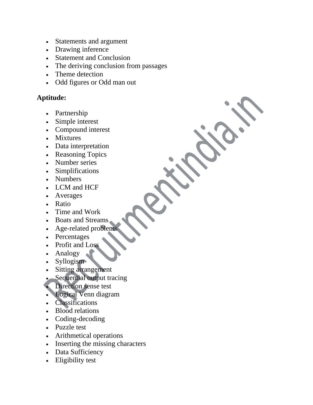- Statements and argument
- Drawing inference
- Statement and Conclusion
- The deriving conclusion from passages
- Theme detection
- Odd figures or Odd man out

#### **Aptitude:**

- Partnership
- Simple interest
- Compound interest
- Mixtures
- Data interpretation
- Reasoning Topics
- Number series
- Simplifications
- Numbers
- LCM and HCF
- Averages
- Ratio
- Time and Work
- Boats and Streams
- Age-related problem
- Percentages
- Profit and Loss
- Analogy
- Syllogism
- Sitting arrangement
- Sequential output tracing
- Direction sense test
- Logical Venn diagram
- Classifications
- Blood relations
- Coding-decoding
- Puzzle test
- Arithmetical operations
- Inserting the missing characters
- Data Sufficiency
- Eligibility test